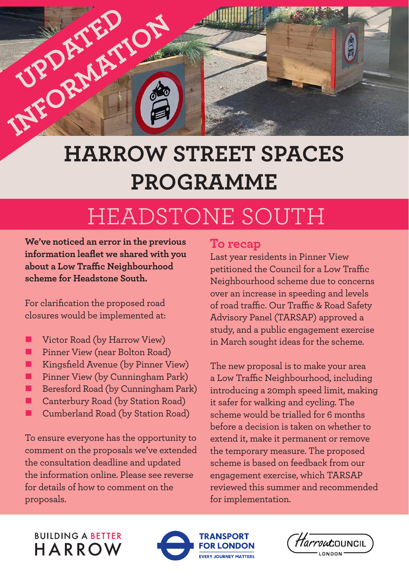

## **HARROW STREET SPACES PROGRAMME**

# HEADSTONE SOUTH

**We've noticed an error in the previous information leaflet we shared with you about a Low Traffic Neighbourhood scheme for Headstone South.**

For clarification the proposed road closures would be implemented at:

- Victor Road (by Harrow View)
- Pinner View (near Bolton Road)
- Kingsfield Avenue (by Pinner View)
- Pinner View (by Cunningham Park)
- Beresford Road (by Cunningham Park)
- Canterbury Road (by Station Road)
- Cumberland Road (by Station Road)

To ensure everyone has the opportunity to comment on the proposals we've extended the consultation deadline and updated the information online. Please see reverse for details of how to comment on the proposals.

#### **To recap**

Last year residents in Pinner View petitioned the Council for a Low Traffic Neighbourhood scheme due to concerns over an increase in speeding and levels of road traffic. Our Traffic & Road Safety Advisory Panel (TARSAP) approved a study, and a public engagement exercise in March sought ideas for the scheme.

The new proposal is to make your area a Low Traffic Neighbourhood, including introducing a 20mph speed limit, making it safer for walking and cycling. The scheme would be trialled for 6 months before a decision is taken on whether to extend it, make it permanent or remove the temporary measure. The proposed scheme is based on feedback from our engagement exercise, which TARSAP reviewed this summer and recommended for implementation.

#### **BUILDING A BETTER** HARROW